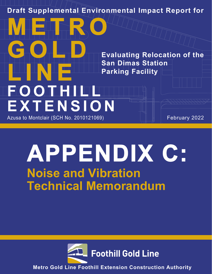**Draft Supplemental Environmental Impact Report for**

**Evaluating Relocation of the San Dimas Station Parking Facility**

# **LIN E FOOTHILL EXTENSION**

**METRO**

**GOLD**

Azusa to Montclair (SCH No. 2010121069) Azusa to Montclair (SCH No. 2010121069)

## **APPENDIX C: Noise and Vibration Technical Memorandum**



**Metro Gold Line Foothill Extension Construction Authority**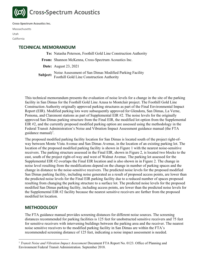

**Cross-Spectrum Acoustics Inc.**

Massachusetts Utah California

### **TECHNICAL MEMORANDUM**

**To:** Natasha Peterson, Foothill Gold Line Construction Authority

**From:** Shannon McKenna, Cross-Spectrum Acoustics Inc.

**Date:** August 23, 2021

**Subject:** Noise Assessment of San Dimas Modified Parking Facility<br> **Subject:** Equatill Gold Line Construction Authority Foothill Gold Line Construction Authority

This technical memorandum presents the evaluation of noise levels for a change in the site of the parking facility in San Dimas for the Foothill Gold Line Azusa to Montclair project. The Foothill Gold Line Construction Authority originally approved parking structures as part of the Final Environmental Impact Report (EIR). Modified parking lots were subsequently approved for Glendora, San Dimas, La Verne, Pomona, and Claremont stations as part of Supplemental EIR #2. The noise levels for the originally approved San Dimas parking structure from the Final EIR, the modified lot option from the Supplemental EIR #2, and the currently proposed modified parking option are assessed using the methodology in the Federal Transit Administration's Noise and Vibration Impact Assessment guidance manual (the FTA guidance manual)<sup>[1](#page-1-0)</sup>.

The proposed modified parking facility location for San Dimas is located south of the project right-ofway between Monte Vista Avenue and San Dimas Avenue, in the location of an existing parking lot. The location of the proposed modified parking facility is shown in [Figure 1](#page-3-0) with the nearest noise-sensitive receivers. The parking structure assessed in the Final EIR, shown in [Figure 2,](#page-4-0) is located two blocks to the east, south of the project right-of-way and west of Walnut Avenue. The parking lot assessed for the Supplemental EIR #2 overlaps the Final EIR location and is also shown in in [Figure 2.](#page-4-0) The change in noise level resulting from the modifications depend on the change in number of parking spaces and the change in distance to the noise-sensitive receivers. The predicted noise levels for the proposed modified San Dimas parking facility, including noise generated as a result of proposed access points, are lower than the predicted noise levels for the Final EIR parking facility due to a reduced number of spaces proposed resulting from changing the parking structure to a surface lot. The predicted noise levels for the proposed modified San Dimas parking facility, including access points, are lower than the predicted noise levels for the Supplemental EIR #2 facility because the nearest sensitive receivers are farther from the proposed modified lot location.

#### **METHODOLOGY**

The FTA guidance manual provides screening distances for different noise sources. The screening distances recommended for parking facilities is 125 feet for unobstructed sensitive receivers and 75 feet for sensitive receivers with intervening buildings between the parking area and the receiver. The nearest noise sensitive receivers to the modified parking facility in San Dimas are within the FTA's recommended screening distance of 125 feet, indicating a noise impact assessment is needed.

<span id="page-1-0"></span><sup>&</sup>lt;sup>1</sup> *Transit Noise and Vibration Impact Assessment Document FTA Report No. 0123. Office of Planning and* Environment Federal Transit Administration. September 2018.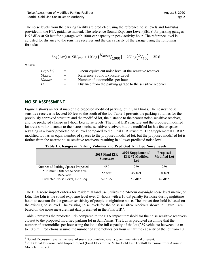| Noise Assessment of Modified Parking Facilities  | August 6, 2020 |
|--------------------------------------------------|----------------|
| <b>Foothill Gold Line Construction Authority</b> | Page 2         |

The noise levels from the parking facility are predicted using the reference noise levels and formulas provided in the FTA guidance manual. The reference Sound Exposure Level  $(SEL)^2$  $(SEL)^2$  for parking garages is 92 dBA at 50 feet for a garage with 1000-car capacity in peak activity hour. The reference level is adjusted for distance to the sensitive receiver and the car capacity of the garage using the following formula:

$$
Leq(1hr) = SEL_{ref} + 10 \log \left( \frac{N_{autos}}{1000} \right) - 25 \log \left( \frac{D}{50} \right) - 35.6
$$

where:

| $=$                      | 1-hour equivalent noise level at the sensitive receiver    |
|--------------------------|------------------------------------------------------------|
| $=$                      | Reference Sound Exposure Level                             |
| $=$                      | Number of automobiles per hour                             |
| $\overline{\phantom{0}}$ | Distance from the parking garage to the sensitive receiver |
|                          |                                                            |

#### **NOISE ASSESSMENT**

[Figure 1](#page-3-0) shows an aerial map of the proposed modified parking lot in San Dimas. The nearest noise sensitive receiver is located 60 feet to the south of the lot. [Table 1](#page-2-0) presents the parking volumes for the previously approved structure and the modified lot, the distance to the nearest noise-sensitive receiver, and the predicted change in 1-hour Leq noise levels. The Final EIR structure and the proposed modified lot are a similar distance to the nearest noise sensitive receiver, but the modified lot has fewer spaces resulting in a lower predicted noise level compared to the Final EIR structure. The Supplemental EIR #2 modified lot has an equal number of spaces to the proposed modified lot, but the proposed modified lot is farther from the nearest noise sensitive receivers, resulting in a lower predicted noise level.

<span id="page-2-0"></span>

|                                            | 2013 Final EIR<br><b>Structure</b> | 2020 Supplemental<br>EIR #2 Modified<br>Lot | <b>Proposed</b><br><b>Modified Lot</b> |
|--------------------------------------------|------------------------------------|---------------------------------------------|----------------------------------------|
| Number of Parking Spaces Proposed          | 450                                | 289                                         | 289                                    |
| Minimum Distance to Sensitive<br>Receivers | 55 feet                            | 45 feet                                     | 60 feet                                |
| Predicted Noise Level, 1-hr Leq            | $52$ dBA                           | $52$ dBA                                    | 49 dBA                                 |

**Table 1. Changes in Parking Volumes and Predicted 1-hr Leq Noise Levels**

The FTA noise impact criteria for residential land use utilizes the 24-hour day-night noise level metric, or Ldn. The Ldn is the sound exposure level over 24-hours with a 10 dB penalty for noise during nighttime hours to account for the greater sensitivity of people to nighttime noise. The impact threshold is based on the existing noise level. The existing noise levels for the noise sensitive receivers shown in [Figure 1](#page-3-0) are based on the noise measurement data presented in the Final EIR<sup>[3](#page-2-2)</sup>.

[Table 2](#page-3-1) presents the predicted Ldn compared to the FTA impact threshold for the noise sensitive receivers closest to the proposed modified parking lot in San Dimas. The Ldn is predicted assuming that the number of automobiles per hour using the lot is the full capacity of the lot (289 vehicles) between 4 a.m. to 10 p.m. Predictions assume the number of automobiles per hour is half the capacity of the lot from 10

<span id="page-2-1"></span><sup>2</sup> Sound Exposure Level is the level of sound accumulated over a given time interval or event.

<span id="page-2-2"></span><sup>&</sup>lt;sup>3</sup> 2013 Final Environmental Impact Report (Final EIR) for the Metro Gold Line Foothill Extension from Azusa to Montclair Project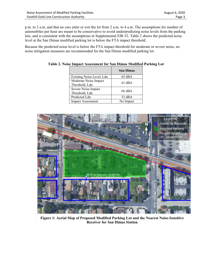| Noise Assessment of Modified Parking Facilities | August 6, 2020 |
|-------------------------------------------------|----------------|
| Foothill Gold Line Construction Authority       | Page 3         |

p.m. to 2 a.m. and that no cars enter or exit the lot from 2 a.m. to 4 a.m. The assumptions for number of automobiles per hour are meant to be conservative to avoid underpredicting noise levels from the parking lots, and is consistent with the assumptions in Supplemental EIR #2. [Table 2](#page-3-1) shows the predicted noise level at the San Dimas modified parking lot is below the FTA impact threshold.

<span id="page-3-1"></span>Because the predicted noise level is below the FTA impact threshold for moderate or severe noise, no noise mitigation measures are recommended for the San Dimas modified parking lot.

|                                         | <b>San Dimas</b> |
|-----------------------------------------|------------------|
| Existing Noise Level, Ldn               | $65$ dBA         |
| Moderate Noise Impact<br>Threshold, Ldn | $61$ dBA         |
| Severe Noise Impact<br>Threshold, Ldn   | $66$ dBA         |
| Predicted Ldn                           | $53 \text{ dBA}$ |
| <b>Impact Assessment</b>                | No Impact        |

**Table 2. Noise Impact Assessment for San Dimas Modified Parking Lot**



<span id="page-3-0"></span> $\mathbb{M}$ 

N. **Figure 1: Aerial Map of Proposed Modified Parking Lot and the Nearest Noise-Sensitive Receiver for San Dimas Station**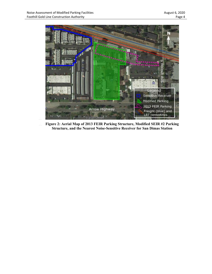

<span id="page-4-0"></span> $\frac{N}{N}$  $\mathbb{M}$ 

**Figure 2: Aerial Map of 2013 FEIR Parking Structure, Modified SEIR #2 Parking Structure, and the Nearest Noise-Sensitive Receiver for San Dimas Station**